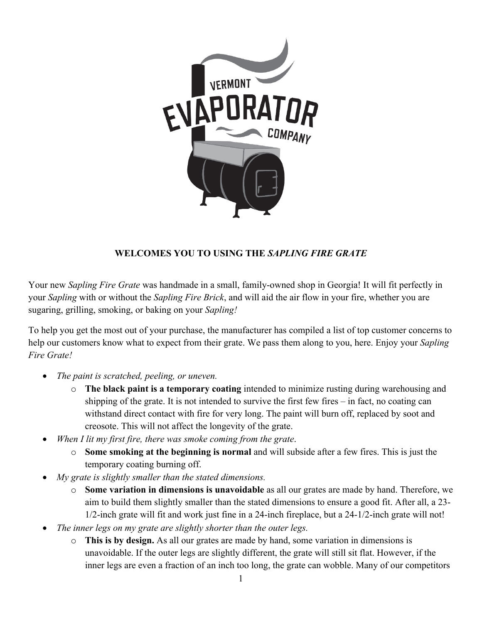

## **WELCOMES YOU TO USING THE** *SAPLING FIRE GRATE*

Your new *Sapling Fire Grate* was handmade in a small, family-owned shop in Georgia! It will fit perfectly in your *Sapling* with or without the *Sapling Fire Brick*, and will aid the air flow in your fire, whether you are sugaring, grilling, smoking, or baking on your *Sapling!*

To help you get the most out of your purchase, the manufacturer has compiled a list of top customer concerns to help our customers know what to expect from their grate. We pass them along to you, here. Enjoy your *Sapling Fire Grate!*

- *The paint is scratched, peeling, or uneven.*
	- o **The black paint is a temporary coating** intended to minimize rusting during warehousing and shipping of the grate. It is not intended to survive the first few fires – in fact, no coating can withstand direct contact with fire for very long. The paint will burn off, replaced by soot and creosote. This will not affect the longevity of the grate.
- *When I lit my first fire, there was smoke coming from the grate*.
	- o **Some smoking at the beginning is normal** and will subside after a few fires. This is just the temporary coating burning off.
- *My grate is slightly smaller than the stated dimensions.*
	- o **Some variation in dimensions is unavoidable** as all our grates are made by hand. Therefore, we aim to build them slightly smaller than the stated dimensions to ensure a good fit. After all, a 23- 1/2-inch grate will fit and work just fine in a 24-inch fireplace, but a 24-1/2-inch grate will not!
- *The inner legs on my grate are slightly shorter than the outer legs.*
	- o **This is by design.** As all our grates are made by hand, some variation in dimensions is unavoidable. If the outer legs are slightly different, the grate will still sit flat. However, if the inner legs are even a fraction of an inch too long, the grate can wobble. Many of our competitors